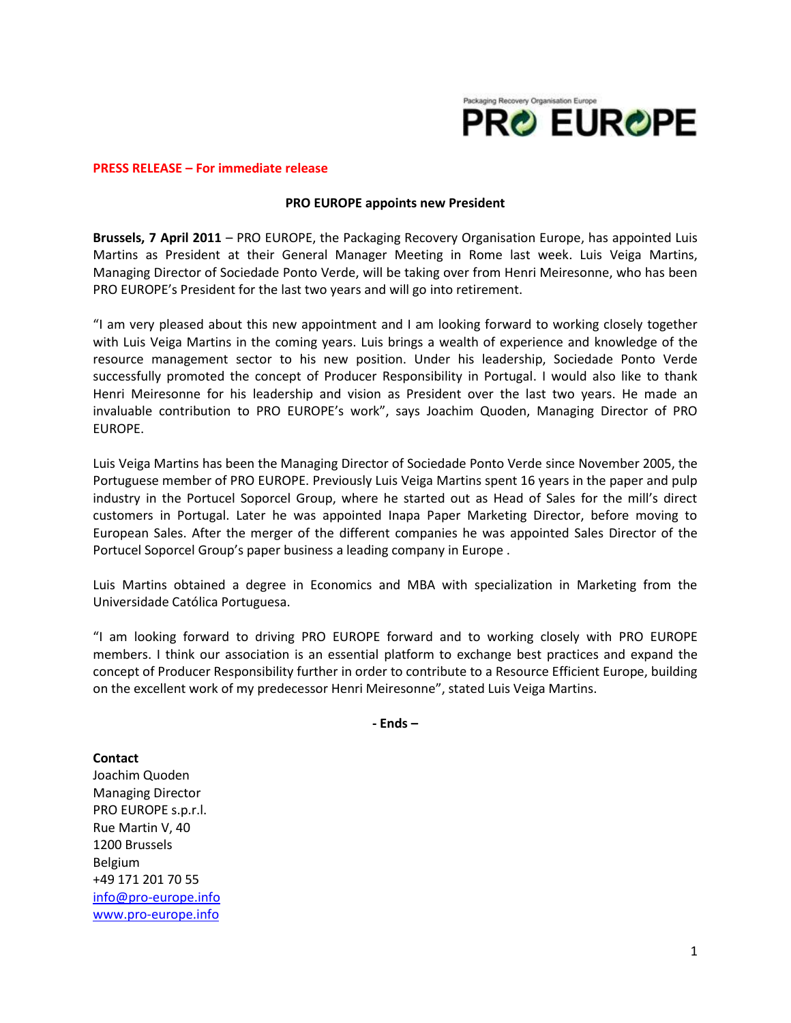

## **PRESS RELEASE – For immediate release**

## **PRO EUROPE appoints new President**

**Brussels, 7 April 2011** – PRO EUROPE, the Packaging Recovery Organisation Europe, has appointed Luis Martins as President at their General Manager Meeting in Rome last week. Luis Veiga Martins, Managing Director of Sociedade Ponto Verde, will be taking over from Henri Meiresonne, who has been PRO EUROPE's President for the last two years and will go into retirement.

"I am very pleased about this new appointment and I am looking forward to working closely together with Luis Veiga Martins in the coming years. Luis brings a wealth of experience and knowledge of the resource management sector to his new position. Under his leadership, Sociedade Ponto Verde successfully promoted the concept of Producer Responsibility in Portugal. I would also like to thank Henri Meiresonne for his leadership and vision as President over the last two years. He made an invaluable contribution to PRO EUROPE's work", says Joachim Quoden, Managing Director of PRO EUROPE.

Luis Veiga Martins has been the Managing Director of Sociedade Ponto Verde since November 2005, the Portuguese member of PRO EUROPE. Previously Luis Veiga Martins spent 16 years in the paper and pulp industry in the Portucel Soporcel Group, where he started out as Head of Sales for the mill's direct customers in Portugal. Later he was appointed Inapa Paper Marketing Director, before moving to European Sales. After the merger of the different companies he was appointed Sales Director of the Portucel Soporcel Group's paper business a leading company in Europe .

Luis Martins obtained a degree in Economics and MBA with specialization in Marketing from the Universidade Católica Portuguesa.

"I am looking forward to driving PRO EUROPE forward and to working closely with PRO EUROPE members. I think our association is an essential platform to exchange best practices and expand the concept of Producer Responsibility further in order to contribute to a Resource Efficient Europe, building on the excellent work of my predecessor Henri Meiresonne", stated Luis Veiga Martins.

**- Ends –**

**Contact**

Joachim Quoden Managing Director PRO EUROPE s.p.r.l. Rue Martin V, 40 1200 Brussels Belgium +49 171 201 70 55 [info@pro-europe.info](mailto:info@pro-europe.info) [www.pro-europe.info](http://www.pro-europe.info/)